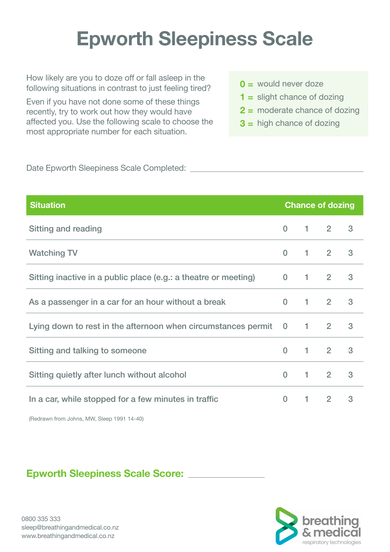# **Epworth Sleepiness Scale**

How likely are you to doze off or fall asleep in the following situations in contrast to just feeling tired?

Even if you have not done some of these things recently, try to work out how they would have affected you. Use the following scale to choose the most appropriate number for each situation.

- **0 =** would never doze
- **1 =** slight chance of dozing
- **2 =** moderate chance of dozing
- **3 =** high chance of dozing

Date Epworth Sleepiness Scale Completed:

| <b>Situation</b>                                                | <b>Chance of dozing</b> |  |                       |   |
|-----------------------------------------------------------------|-------------------------|--|-----------------------|---|
| Sitting and reading                                             | $\Omega$                |  | $1 \t2$               | 3 |
| <b>Watching TV</b>                                              | $\Omega$                |  | $1 \quad 2 \quad 3$   |   |
| Sitting inactive in a public place (e.g.: a theatre or meeting) |                         |  | $0 \t1 \t2$           | 3 |
| As a passenger in a car for an hour without a break             |                         |  | $0 \quad 1 \quad 2$   | 3 |
| Lying down to rest in the afternoon when circumstances permit   |                         |  | $0 \qquad 1 \qquad 2$ | 3 |
| Sitting and talking to someone                                  | $\Omega$                |  | $1 \t 2$              | 3 |
| Sitting quietly after lunch without alcohol                     | $\Omega$                |  | $1 \quad 2$           | 3 |
| In a car, while stopped for a few minutes in traffic            |                         |  | $0 \t1 \t2$           | 3 |
|                                                                 |                         |  |                       |   |

(Redrawn from Johns, MW, Sleep 1991 14-40)

### **Epworth Sleepiness Scale Score:**